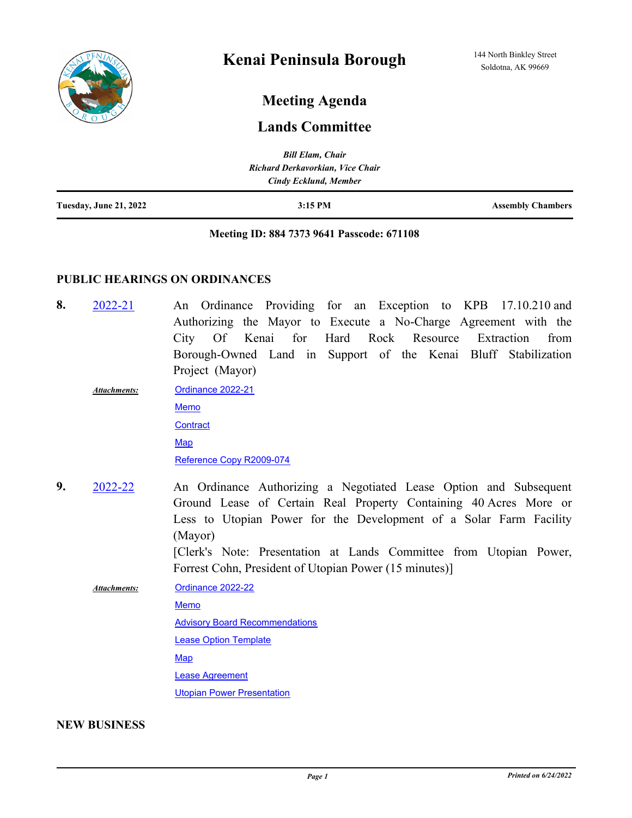

# **Meeting Agenda**

# **Lands Committee**

|                               | <b>Bill Elam, Chair</b>          |                          |
|-------------------------------|----------------------------------|--------------------------|
|                               | Richard Derkavorkian, Vice Chair |                          |
|                               | Cindy Ecklund, Member            |                          |
| <b>Tuesday, June 21, 2022</b> | $3:15$ PM                        | <b>Assembly Chambers</b> |

#### **Meeting ID: 884 7373 9641 Passcode: 671108**

## **PUBLIC HEARINGS ON ORDINANCES**

- An Ordinance Providing for an Exception to KPB 17.10.210 and Authorizing the Mayor to Execute a No-Charge Agreement with the City Of Kenai for Hard Rock Resource Extraction from Borough-Owned Land in Support of the Kenai Bluff Stabilization Project (Mayor) **8.** [2022-21](http://kpb.legistar.com/gateway.aspx?m=l&id=/matter.aspx?key=25777)
	- [Ordinance 2022-21](http://kpb.legistar.com/gateway.aspx?M=F&ID=93da9f4f-c271-4719-b220-bd9d17e52d45.pdf) [Memo](http://kpb.legistar.com/gateway.aspx?M=F&ID=fd6ac4a0-d381-4830-8a5f-b3ad609e87a7.pdf) **[Contract](http://kpb.legistar.com/gateway.aspx?M=F&ID=d9ef8156-9e47-4a79-bac0-c737a68f430c.docx) [Map](http://kpb.legistar.com/gateway.aspx?M=F&ID=21e6fe56-d84e-461d-b23f-9f17ea5503a3.pdf)** [Reference Copy R2009-074](http://kpb.legistar.com/gateway.aspx?M=F&ID=48221b52-fdb5-4a65-b564-03610bfdd7d9.pdf) *Attachments:*
- An Ordinance Authorizing a Negotiated Lease Option and Subsequent Ground Lease of Certain Real Property Containing 40 Acres More or Less to Utopian Power for the Development of a Solar Farm Facility (Mayor) [Clerk's Note: Presentation at Lands Committee from Utopian Power, **9.** [2022-22](http://kpb.legistar.com/gateway.aspx?m=l&id=/matter.aspx?key=25783)

Forrest Cohn, President of Utopian Power (15 minutes)] [Ordinance 2022-22](http://kpb.legistar.com/gateway.aspx?M=F&ID=13c03a74-b8a1-40e8-895d-9f4bead5288b.pdf) [Memo](http://kpb.legistar.com/gateway.aspx?M=F&ID=a8651ad2-938e-4ae8-85fe-027d8bff9a47.pdf) **[Advisory Board Recommendations](http://kpb.legistar.com/gateway.aspx?M=F&ID=64a9acf2-ad9e-479a-a108-d52b5e7f950a.pdf)** [Lease Option Template](http://kpb.legistar.com/gateway.aspx?M=F&ID=861ab3c1-adba-4ca1-8b97-abecbd235727.docx) **[Map](http://kpb.legistar.com/gateway.aspx?M=F&ID=81225e67-c6ee-43cb-b9e4-3e772dac3635.pdf)** [Lease Agreement](http://kpb.legistar.com/gateway.aspx?M=F&ID=6e5dd297-5618-44d6-be38-9758c93b5a5a.docx) [Utopian Power Presentation](http://kpb.legistar.com/gateway.aspx?M=F&ID=f1ffc5a4-2c41-4b35-bea5-66dc1bc218a7.pdf) *Attachments:*

### **NEW BUSINESS**